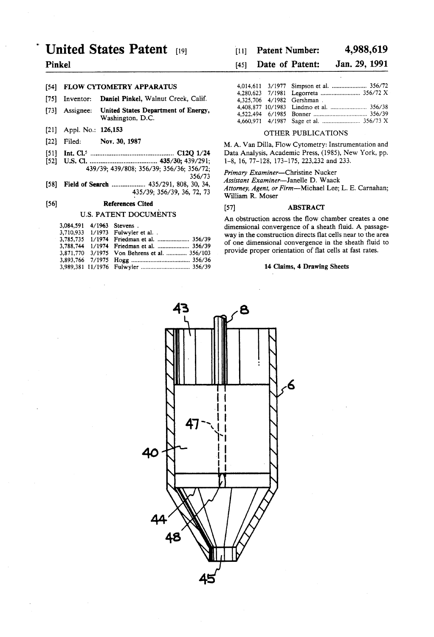# United States Patent [19] [11] Patent Number: 4,988,619

# [54] FLOW CYTOMETRY APPARATUS

- [75] Inventor: **Daniel Pinkel,** Walnut Creek, Calif.  $4,325,706$  4/1982 Gershman
- \_ . 4,408,877 10/1983 Lindmo et a1. ..................... .. 356/38 [73] Asslgnee' 3f"?! statesggmmem °f Energy' 4,522,494 6/1985 Bonner . . . . . . . , . . . , . .. 356/39 Washington, D.C.
- 
- 
- 
- [52] US. Cl. .................................... .. 435/30; 439/291; l-8, 16, 77-128, 173-175, 223,232 and 233.

[58] Field of Search ................. .. 435/291, 808, 30, 34, Ass'sm'" E"""'"e'"TJa"e"e.D' Waack

# [56] References Cited [57] ABSTRACT [57] ABSTRACT [57]

|  | 3,084,591 4/1963 Stevens.                    |
|--|----------------------------------------------|
|  | 3.710.933 1/1973 Fulwyler et al. .           |
|  |                                              |
|  | 3,788,744 1/1974 Friedman et al.  356/39     |
|  | 3,871,770 3/1975 Von Behrens et al.  356/103 |
|  |                                              |
|  |                                              |

# Pinkel [45] Date of Patent: Jan. 29, 1991

| ETRY APPARATUS                                   |  |                            |
|--------------------------------------------------|--|----------------------------|
| iel Pinkel. Walnut Creek, Calif.                 |  | 4.325.706 4/1982 Gershman. |
| ed States Department of Energy,<br>hington, D.C. |  |                            |

# [21] Appl. No.: 126,153 OTHER PUBLICATIONS

[22] Filed: Nov. 30, 1987 M. A. Van Dilla, Flow Cytometry: Instrumentation and [51] Int. Cl.5 ............................................. .. C12Q 1/24 Data Analysis, Academic Press, (1985), New York, pp.

 $\frac{3396}{2}$ ;  $\frac{356}{3}$ <br> $\frac{356}{73}$ ;  $\frac{356}{3}$ <br> $\frac{356}{3}$ 

Attorney, Agent, or Firm--Michael Lee; L. E. Carnahan; William R. Moser

An obstruction across the flow chamber creates a one dimensional convergence of a sheath fluid. A passageway in the construction directs flat cells near to the area of one dimensional convergence in the sheath fluid to provide proper orientation of flat cells at fast rates.

## 14 Claims, 4 Drawing Sheets

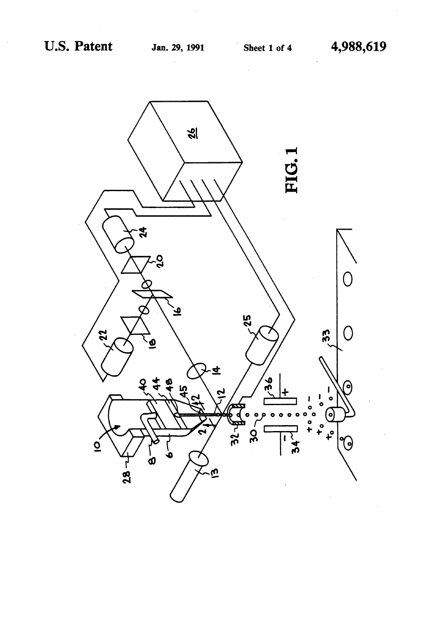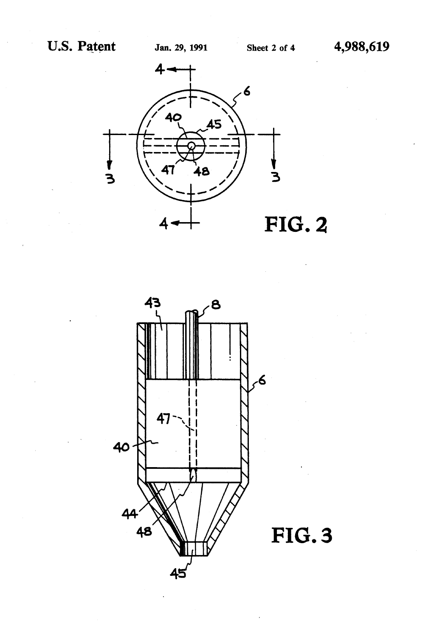



FIG. 3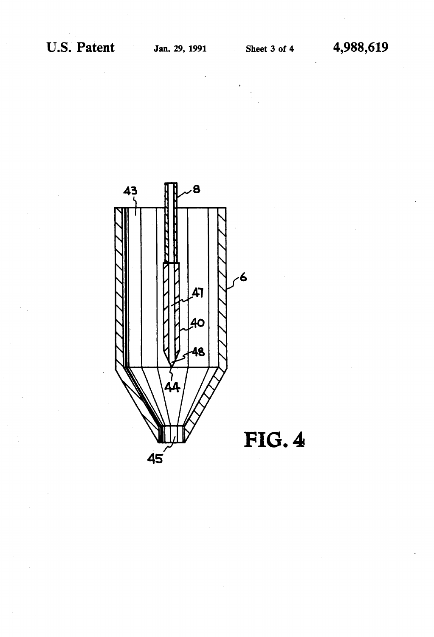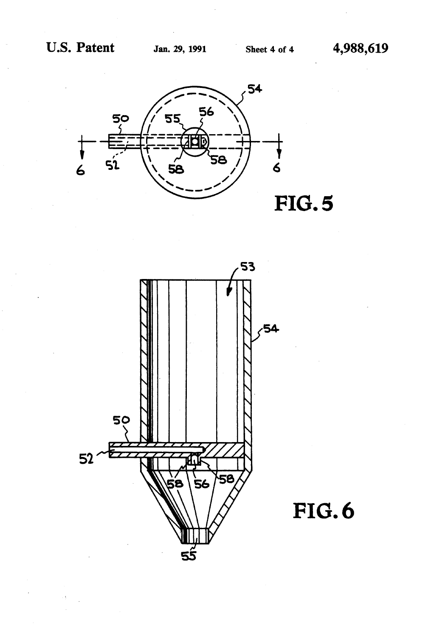



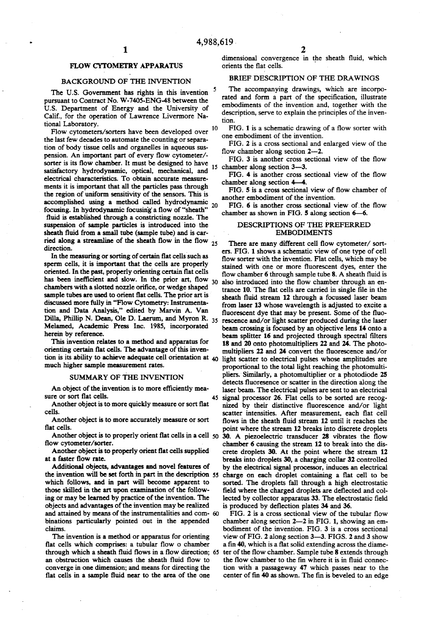# FLOW CYTOMETRY APPARATUS

### BACKGROUND OF THE INVENTION

The U.S. Government has rights in this invention pursuant to Contract No. W-7405-ENG-48 between the U.S. Department of Energy and the University of Calif, for the operation of Lawrence Livermore Na tional Laboratory.

Flow cytometers/sorters have been developed over <sup>10</sup> the last few decades to automate the counting or separa tion of body tissue cells and organelles in aqueous sus pension. An important part of every flow cytometer/sorter is its flow chamber. It must be designed to have satisfactory hydrodynamic, optical, mechanical, and electrical characteristics. To obtain accurate measure ments it is important that all the particles pass through the region of uniform sensitivity of the sensors. This is accomplished using a method called hydrodynamic  $_{20}$ focusing. In hydrodynamic focusing a flow of "sheath" fluid is established through a constricting nozzle. The suspension of sample particles is introduced into the sheath fluid from a small tube (sample tube) and is carried along a streamline of the sheath flow in the flow  $_{25}$ direction.

In the measuring or sorting of certain flat cells such as sperm cells, it is important that the cells are properly oriented. In the past, properly orienting certain flat cells has been inefficient and slow. In the prior art, flow chambers with a slotted nozzle orifice, or wedge shaped sample tubes are used to orient flat cells. The prior art is discussed more fully in "Flow Cytometry: Instrumenta tion and Data Analysis," edited by Marvin A. Van Dilla, Phillip N. Dean, Ole D. Laerum, and Myron R. Melamed, Academic Press Inc. 1985, incorporated herein by reference.

This invention relates to a method and apparatus for orienting certain flat cells. The advantage of this invention is its ability to achieve adequate cell orientation at 40 much higher sample measurement rates.

### SUMMARY OF THE INVENTION

An object of the invention is to more efficiently measure or sort flat cells.

Another object is to more quickly measure or sort flat cells.

Another object is to more accurately measure or sort flat cells.

Another object is to properly orient flat cells supplied at a faster flow rate.

Additional objects, advantages and novel features of the invention will be set forth in part in the description 55 which follows, and in part will become apparent to those skilled in the art upon examination of the follow ing or may be learned by practice of the invention. The objects and advantages of the invention may be realized and attained by means of the instrumentalities and com binations particularly pointed out in the appended claims.

The invention is a method or apparatus for orienting flat cells which comprises: a tubular flow o chamber through which a sheath fluid flows in a flow direction; 65 an obstruction which causes the sheath fluid flow to converge in one dimension; and means for directing the flat cells in a sample fluid near to the area of the one

dimensional convergence in the sheath fluid, which orients the flat cells.

### BRIEF DESCRIPTION OF THE DRAWINGS

The accompanying drawings, which are incorpo rated and form a part of the specification, illustrate embodiments of the invention and, together with the description, serve to explain the principles of the inven tion.

FIG. 1 is a schematic drawing of a flow sorter with one embodiment of the invention.

FIG. 2 is a cross sectional and enlarged view of the flow chamber along section  $2-2$ .

FIG. 3 is another cross sectional view of the flow 15 chamber along section 3-3.

FIG. 4 is another cross sectional view of the flow chamber along section 4—4.

FIG. 5 is a cross sectional view of flow chamber of another embodiment of the invention.

FIG. 6 is another cross sectional view of the flow chamber as shown in FIG. 5 along section 6-6.

## DESCRIPTIONS OF THE PREFERRED EMBODIMENTS

Another object is to properly orient ?at cells in a cell ?ow cytometer/sorter. . 30. A piezoelectric transducer 28 vibrates the flow 45 There are many different cell flow cytometer/ sorters. FIG. 1 shows a schematic view of one type of cell flow sorter with the invention. Flat cells, which may be stained with one or more fluorescent dyes, enter the flow chamber 6 through sample tube 8. A sheath fluid is 30 also introduced into the flow chamber through an entrance 10. The flat cells are carried in single file in the sheath fluid stream 12 through a focussed laser beam from laser 13 whose wavelength is adjusted to excite a fluorescent dye that may be present. Some of the fluorescence and/or light scatter produced during the laser beam crossing is focused by an objective lens 14 onto a beam splitter 16 and projected through spectral filters 18 and 20 onto photomultipliers 22 and 24. The photo multipliers 22 and 24 convert the fluorescence and/or light scatter to electrical pulses whose amplitudes are proportional to the total light reaching the photomulti pliers. Similarly, a photomultiplier or a photodiode 25 detects fluoresence or scatter in the direction along the laser beam. The electrical pulses are sent to an electrical signal processor 26. Flat cells to be sorted are recog nized by their distinctive fluorescence and/or light scatter intensities. After measurement, each flat cell flows in the sheath fluid stream 12 until it reaches the point where the stream 12 breaks into discrete droplets chamber 6 causing the stream 12 to break into the dis crete droplets 30. At the point where the stream 12 breaks into droplets 30, a charging collar 32 controlled by the electrical signal processor, induces an electrical charge on each droplet containing a flat cell to be sorted. The droplets fall through a high electrostatic field where the charged droplets are deflected and collected by collector apparatus 33. The electrostatic field is produced by deflection plates 34 and 36.

> FIG. 2 is a cross sectional view of the tubular flow chamber along section  $2-2$  in FIG. 1, showing an embodiment of the invention. FIG. 3 is a cross sectional view of FIG. 2 along section 3-3. FIGS. 2 and 3 show a fin 40, which is a flat solid extending across the diameter of the flow chamber. Sample tube 8 extends through the flow chamber to the fin where it is in fluid connection with a passageway 47 which passes near to the center of fin 40 as shown. The fin is beveled to an edge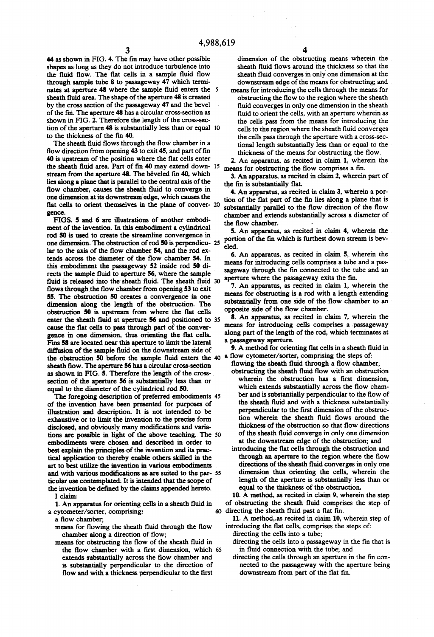44 as shown in FIG. 4. The fin may have other possible shapes as long as they do not introduce turbulence into the fluid flow. The flat cells in a sample fluid flow through sample tube 8 to passageway 47 which termi nates at aperture 48 where the sample fluid enters the 5 sheath fluid area. The shape of the aperture 48 is created by the cross section of the passageway 47 and the bevel of the fin. The aperture 48 has a circular cross-section as shown in FIG. 2. Therefore the length of the cross-sec tion of the aperture 48 is substantially less than or equal 10 to the thickness of the fin 40.

The sheath fluid flows through the flow chamber in a flow direction from opening  $43$  to exit  $45$ , and part of fin 40 is upstream of the position where the flat cells enter the sheath fluid area. Part of fin 40 may extend down- 15 stream from the aperture 48. The beveled fin 40, which lies along a plane that is parallel to the central axis of the flow chamber, causes the sheath fluid to converge in one dimension at its downstream' edge, which causes the flat cells to orient themselves in the plane of conver- 20 gence.

FIGS. 5 and 6 are illustrations of another embodi ment of the invention. In this embodiment a cylindrical rod 50 is used to create the streamline convergence in one dimension. The obstruction of rod 50 is perpendicu lar to the axis of the flow chamber 54, and the rod extends across the diameter of the flow chamber 54. In this embodiment the passageway 52 inside rod 50 di rects the sample fluid to aperture 56, where the sample fluid is released into the sheath fluid. The sheath fluid 30 flows through the flow chamber from opening 53 to exit 55. The obstruction 50 creates a convergence in one dimension along the length of the obstruction. The obstruction 50 is upstream from where the flat cells enter the sheath fluid at aperture 56 and positioned to 35 cause the flat cells to pass through part of the convergence in one dimension, thus orienting the flat cells. Fins 58 are located near this aperture to limit the lateral diffusion of the sample fluid on the downstream side of the obstruction 50 before the sample fluid enters the 40 a flow cytometer/sorter, comprising the steps of: sheath flow. The aperture 56 has a circular cross-section as shown in FIG. 5. Therefore the length of the cross section of the aperture 56 is substantially less than or equal to the diameter of the cylindrical rod 50.

The foregoing description of preferred embodiments 45 of the invention have been presented for purposes of illustration and description. It is not intended to be exhaustive or to limit the invention to the precise form disclosed, and obviously many modifications and variations are possible in light of the above teaching. The embodiments were chosen and described in order to best explain the principles of the invention and its prac tical application to thereby enable others skilled in the art to best utilize the invention in various embodiments and with various modifications as are suited to the par-55 ticular use contemplated. It is intended that the scope of the invention be defined by the claims appended hereto.

I claim:

1. An apparatus for orienting cells in a sheath fluid in a cytometer/sorter, comprising:

a flow chamber;

means for flowing the sheath fluid through the flow chamber along a direction of flow;

means for obstructing the flow of the sheath fluid in the flow chamber with a first dimension, which 65 extends substantially across the flow chamber and is substantially perpendicular to the direction of flow and with a thickness perpendicular to the first

dimension of the obstructing means wherein the sheath fluid flows around the thickness so that the sheath fluid converges in only one dimension at the downstream edge of the means for obstructing; and

means for introducing the cells through the means for obstructing the flow to the region where the sheath fluid converges in only one dimension in the sheath fluid to orient the cells, with an aperture wherein as the cells pass from the means for introducing the cells to the region where the sheath fluid converges the cells pass through the aperture with a cross-sec tional length substantially less than or equal to the thickness of the means for obstructing the flow.

2. An apparatus, as recited in claim 1, wherein the means for obstructing the flow comprises a fin.

3. An apparatus, as recited in claim 2, wherein part of the fin is substantially flat.

4. An apparatus, as recited in claim 3, wherein a por tion of the flat part of the fin lies along a plane that is substantially parallel to the flow direction of the flow chamber and extends substantially across a diameter of the flow chamber.

5. An apparatus, as recited in claim 4, wherein the portion of the fin which is furthest down stream is beveled.

6. An apparatus, as recited in claim 5, wherein the means for introducing cells comprises a tube and a pas sageway through the fin connected to the tube and an aperture where the passageway exits the fin.

7. An apparatus, as recited in claim 1, wherein the means for obstructing is a rod with a length extending substantially from one side of the flow chamber to an opposite side of the flow chamber.

8. An apparatus, as recited in claim 7, wherein the means for introducing cells comprises a passageway along part of the length of the rod, which terminates at a passageway aperture.

9. A method for orienting flat cells in a sheath fluid in

- flowing the sheath fluid through a flow chamber;
- obstructing the sheath fluid flow with an obstruction wherein the obstruction has a first dimension, which extends substantially across the flow chamber and is substantially perpendicular to the flow of the sheath fluid and with a thickness substantially perpendicular to the first dimension of the obstruction wherein the sheath fluid flows around the thickness of the obstruction so that flow directions of the sheath fluid converge in only one dimension at the downstream edge of the obstruction; and
- introducing the flat cells through the obstruction and through an aperture to the region where the flow directions of the sheath fluid converges in only one dimension thus orienting the cells, wherein the length of the aperture is substantially less than or equal to the thickness of the obstruction.

 $60$  directing the sheath fluid past a flat fin. 10. A method, as recited in claim 9, wherein the step of obstructing the sheath fluid comprises the step of

11. A method,.as recited in claim 10, wherein step of introducing the flat cells, comprises the steps of:

directing the cells into a tube;

- directing the cells into a passageway in the fin that is in fluid connection with the tube; and
- directing the cells through an aperture in the fin con nected to the passageway with the aperture being downstream from part of the flat fin.